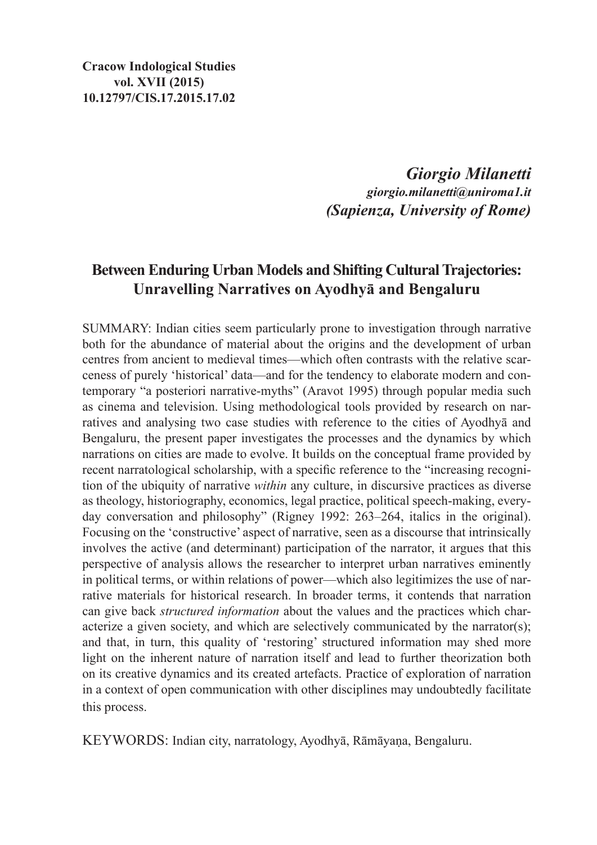*Giorgio Milanetti giorgio.milanetti@uniroma1.it (Sapienza, University of Rome)*

## **Between Enduring Urban Models and Shifting Cultural Trajectories: Unravelling Narratives on Ayodhyā and Bengaluru**

SUMMARY: Indian cities seem particularly prone to investigation through narrative both for the abundance of material about the origins and the development of urban centres from ancient to medieval times—which often contrasts with the relative scarceness of purely 'historical' data—and for the tendency to elaborate modern and contemporary "a posteriori narrative-myths" (Aravot 1995) through popular media such as cinema and television. Using methodological tools provided by research on narratives and analysing two case studies with reference to the cities of Ayodhyā and Bengaluru, the present paper investigates the processes and the dynamics by which narrations on cities are made to evolve. It builds on the conceptual frame provided by recent narratological scholarship, with a specific reference to the "increasing recognition of the ubiquity of narrative *within* any culture, in discursive practices as diverse as theology, historiography, economics, legal practice, political speech-making, everyday conversation and philosophy" (Rigney 1992: 263–264, italics in the original). Focusing on the 'constructive' aspect of narrative, seen as a discourse that intrinsically involves the active (and determinant) participation of the narrator, it argues that this perspective of analysis allows the researcher to interpret urban narratives eminently in political terms, or within relations of power—which also legitimizes the use of narrative materials for historical research. In broader terms, it contends that narration can give back *structured information* about the values and the practices which characterize a given society, and which are selectively communicated by the narrator(s); and that, in turn, this quality of 'restoring' structured information may shed more light on the inherent nature of narration itself and lead to further theorization both on its creative dynamics and its created artefacts. Practice of exploration of narration in a context of open communication with other disciplines may undoubtedly facilitate this process.

KEYWORDS: Indian city, narratology, Ayodhyā, Rāmāyaṇa, Bengaluru.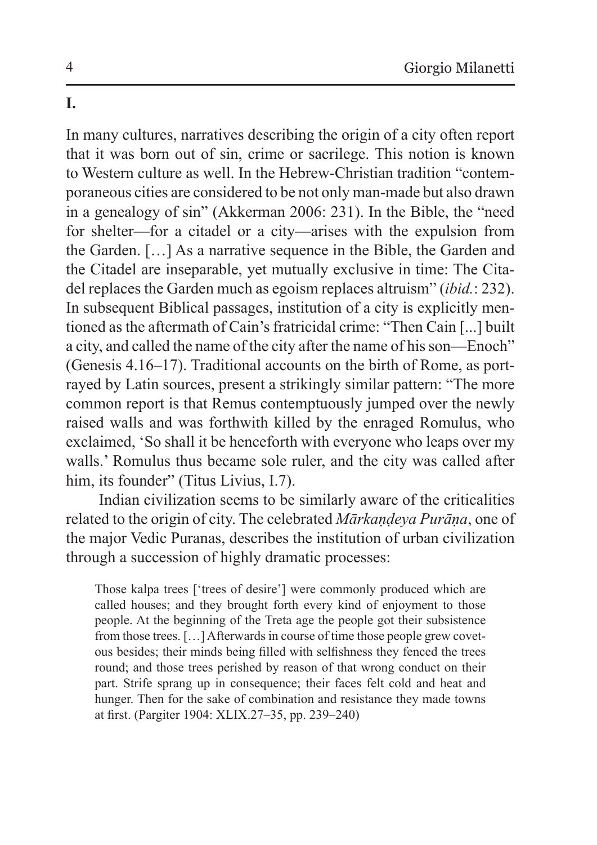# **I.**

In many cultures, narratives describing the origin of a city often report that it was born out of sin, crime or sacrilege. This notion is known to Western culture as well. In the Hebrew-Christian tradition "contemporaneous cities are considered to be not only man-made but also drawn in a genealogy of sin" (Akkerman 2006: 231). In the Bible, the "need for shelter—for a citadel or a city—arises with the expulsion from the Garden. […] As a narrative sequence in the Bible, the Garden and the Citadel are inseparable, yet mutually exclusive in time: The Citadel replaces the Garden much as egoism replaces altruism" (*ibid.*: 232). In subsequent Biblical passages, institution of a city is explicitly mentioned as the aftermath of Cain's fratricidal crime: "Then Cain [...] built a city, and called the name of the city after the name of his son—Enoch" (Genesis 4.16–17). Traditional accounts on the birth of Rome, as portrayed by Latin sources, present a strikingly similar pattern: "The more common report is that Remus contemptuously jumped over the newly raised walls and was forthwith killed by the enraged Romulus, who exclaimed, 'So shall it be henceforth with everyone who leaps over my walls.' Romulus thus became sole ruler, and the city was called after him, its founder" (Titus Livius, I.7).

Indian civilization seems to be similarly aware of the criticalities related to the origin of city. The celebrated *Mārkaṇḍeya Purāṇa*, one of the major Vedic Puranas, describes the institution of urban civilization through a succession of highly dramatic processes:

Those kalpa trees ['trees of desire'] were commonly produced which are called houses; and they brought forth every kind of enjoyment to those people. At the beginning of the Treta age the people got their subsistence from those trees. […] Afterwards in course of time those people grew covetous besides; their minds being filled with selfishness they fenced the trees round; and those trees perished by reason of that wrong conduct on their part. Strife sprang up in consequence; their faces felt cold and heat and hunger. Then for the sake of combination and resistance they made towns at first. (Pargiter 1904: XLIX.27–35, pp. 239–240)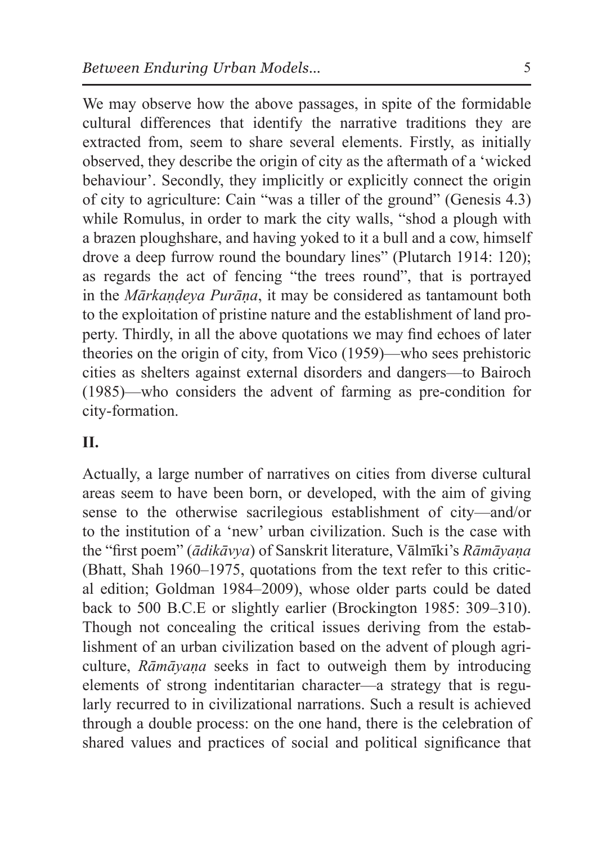We may observe how the above passages, in spite of the formidable cultural differences that identify the narrative traditions they are extracted from, seem to share several elements. Firstly, as initially observed, they describe the origin of city as the aftermath of a 'wicked behaviour'. Secondly, they implicitly or explicitly connect the origin of city to agriculture: Cain "was a tiller of the ground" (Genesis 4.3) while Romulus, in order to mark the city walls, "shod a plough with a brazen ploughshare, and having yoked to it a bull and a cow, himself drove a deep furrow round the boundary lines" (Plutarch 1914: 120); as regards the act of fencing "the trees round", that is portrayed in the *Mārkaṇḍeya Purāṇa*, it may be considered as tantamount both to the exploitation of pristine nature and the establishment of land property. Thirdly, in all the above quotations we may find echoes of later theories on the origin of city, from Vico (1959)—who sees prehistoric cities as shelters against external disorders and dangers—to Bairoch (1985)—who considers the advent of farming as pre-condition for city-formation.

## **II.**

Actually, a large number of narratives on cities from diverse cultural areas seem to have been born, or developed, with the aim of giving sense to the otherwise sacrilegious establishment of city—and/or to the institution of a 'new' urban civilization. Such is the case with the "first poem" (*ādikāvya*) of Sanskrit literature, Vālmīki's *Rāmāyaṇa*  (Bhatt, Shah 1960–1975, quotations from the text refer to this critical edition; Goldman 1984–2009), whose older parts could be dated back to 500 B.C.E or slightly earlier (Brockington 1985: 309–310). Though not concealing the critical issues deriving from the establishment of an urban civilization based on the advent of plough agriculture, *Rāmāyaṇa* seeks in fact to outweigh them by introducing elements of strong indentitarian character—a strategy that is regularly recurred to in civilizational narrations. Such a result is achieved through a double process: on the one hand, there is the celebration of shared values and practices of social and political significance that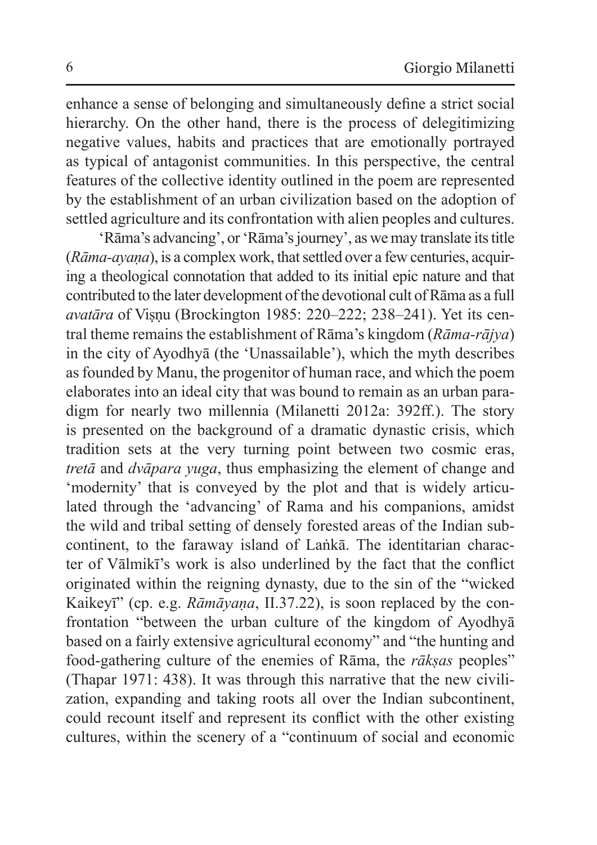enhance a sense of belonging and simultaneously define a strict social hierarchy. On the other hand, there is the process of delegitimizing negative values, habits and practices that are emotionally portrayed as typical of antagonist communities. In this perspective, the central features of the collective identity outlined in the poem are represented by the establishment of an urban civilization based on the adoption of settled agriculture and its confrontation with alien peoples and cultures.

'Rāma's advancing', or 'Rāma's journey', as wemay translate its title (*Rāma-ayaṇa*), is a complex work, that settled over a few centuries, acquiring a theological connotation that added to its initial epic nature and that contributed to the later development of the devotional cult of Rāma as a full *avatāra* of Viṣṇu (Brockington 1985: 220–222; 238–241). Yet its central theme remains the establishment of Rāma's kingdom (*Rāma-rājya*) in the city of Ayodhyā (the 'Unassailable'), which the myth describes asfounded by Manu, the progenitor of human race, and which the poem elaborates into an ideal city that was bound to remain as an urban paradigm for nearly two millennia (Milanetti 2012a: 392ff.). The story is presented on the background of a dramatic dynastic crisis, which tradition sets at the very turning point between two cosmic eras, *tretā* and *dvāpara yuga*, thus emphasizing the element of change and 'modernity' that is conveyed by the plot and that is widely articulated through the 'advancing' of Rama and his companions, amidst the wild and tribal setting of densely forested areas of the Indian subcontinent, to the faraway island of Laṅkā. The identitarian character of Vālmikī's work is also underlined by the fact that the conflict originated within the reigning dynasty, due to the sin of the "wicked Kaikeyī" (cp. e.g. *Rāmāyaṇa*, II.37.22), is soon replaced by the confrontation "between the urban culture of the kingdom of Ayodhyā based on a fairly extensive agricultural economy" and "the hunting and food-gathering culture of the enemies of Rāma, the *rākṣas* peoples" (Thapar 1971: 438). It was through this narrative that the new civilization, expanding and taking roots all over the Indian subcontinent, could recount itself and represent its conflict with the other existing cultures, within the scenery of a "continuum of social and economic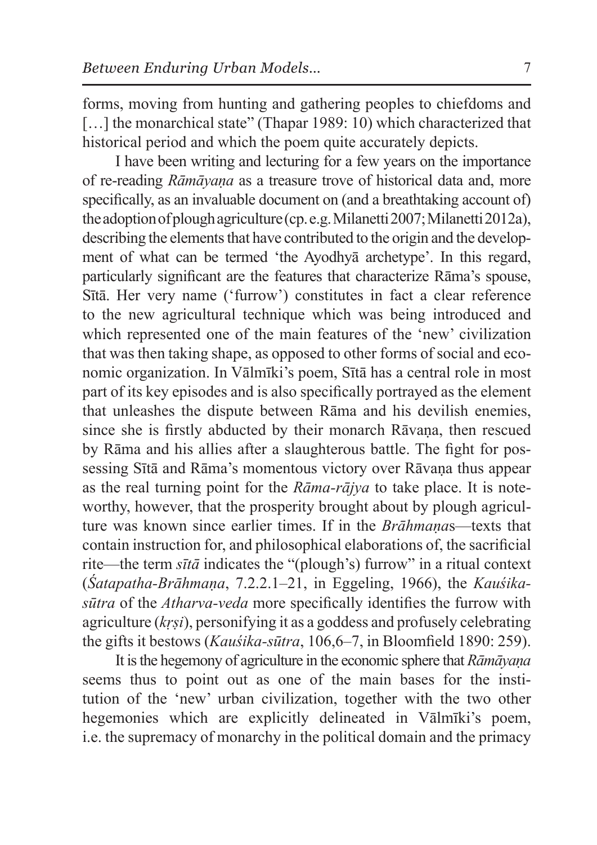forms, moving from hunting and gathering peoples to chiefdoms and [...] the monarchical state" (Thapar 1989: 10) which characterized that historical period and which the poem quite accurately depicts.

I have been writing and lecturing for a few years on the importance of re-reading *Rāmāyaṇa* as a treasure trove of historical data and, more specifically, as an invaluable document on (and a breathtaking account of) the adoption of plough agriculture (cp. e.g. Milanetti 2007; Milanetti 2012a), describing the elements that have contributed to the origin and the development of what can be termed 'the Ayodhyā archetype'. In this regard, particularly significant are the features that characterize Rāma's spouse, Sītā. Her very name ('furrow') constitutes in fact a clear reference to the new agricultural technique which was being introduced and which represented one of the main features of the 'new' civilization that was then taking shape, as opposed to other forms of social and economic organization. In Vālmīki's poem, Sītā has a central role in most part of its key episodes and is also specifically portrayed as the element that unleashes the dispute between Rāma and his devilish enemies, since she is firstly abducted by their monarch Rāvaṇa, then rescued by Rāma and his allies after a slaughterous battle. The fight for possessing Sītā and Rāma's momentous victory over Rāvana thus appear as the real turning point for the *Rāma-rājya* to take place. It is noteworthy, however, that the prosperity brought about by plough agriculture was known since earlier times. If in the *Brāhmaṇa*s—texts that contain instruction for, and philosophical elaborations of, the sacrificial rite—the term *sītā* indicates the "(plough's) furrow" in a ritual context (*Śatapatha-Brāhmaṇa*, 7.2.2.1–21, in Eggeling, 1966), the *Kauśikasūtra* of the *Atharva-veda* more specifically identifies the furrow with agriculture (*kṛṣi*), personifying it as a goddess and profusely celebrating the gifts it bestows (*Kauśika-sūtra*, 106,6–7, in Bloomfield 1890: 259).

It isthe hegemony of agriculture in the economic sphere that *Rāmāyaṇa* seems thus to point out as one of the main bases for the institution of the 'new' urban civilization, together with the two other hegemonies which are explicitly delineated in Vālmīki's poem, i.e. the supremacy of monarchy in the political domain and the primacy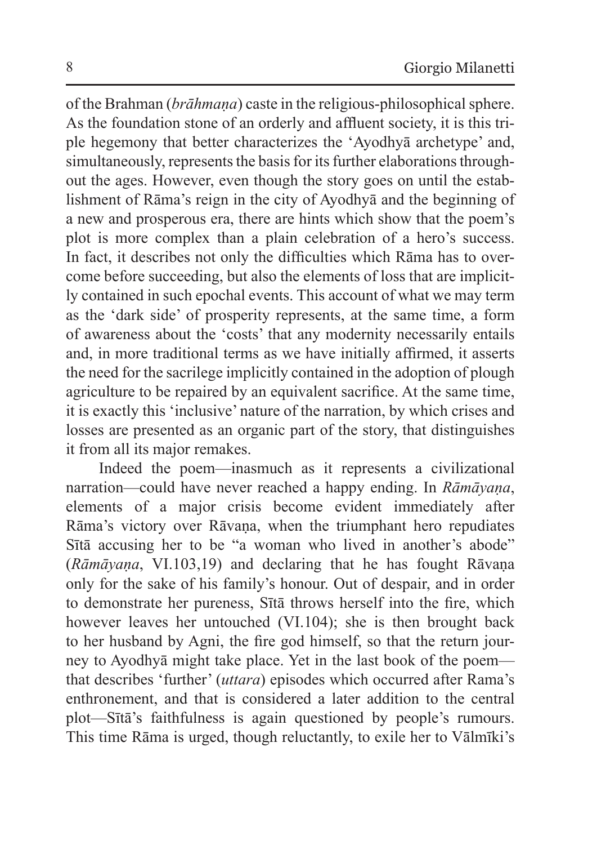of the Brahman (*brāhmaṇa*) caste in the religious-philosophical sphere. As the foundation stone of an orderly and affluent society, it is this triple hegemony that better characterizes the 'Ayodhyā archetype' and, simultaneously, represents the basis for its further elaborations throughout the ages. However, even though the story goes on until the establishment of Rāma's reign in the city of Ayodhyā and the beginning of a new and prosperous era, there are hints which show that the poem's plot is more complex than a plain celebration of a hero's success. In fact, it describes not only the difficulties which Rāma has to overcome before succeeding, but also the elements of loss that are implicitly contained in such epochal events. This account of what we may term as the 'dark side' of prosperity represents, at the same time, a form of awareness about the 'costs' that any modernity necessarily entails and, in more traditional terms as we have initially affirmed, it asserts the need for the sacrilege implicitly contained in the adoption of plough agriculture to be repaired by an equivalent sacrifice. At the same time, it is exactly this 'inclusive' nature of the narration, by which crises and losses are presented as an organic part of the story, that distinguishes it from all its major remakes.

Indeed the poem—inasmuch as it represents a civilizational narration—could have never reached a happy ending. In *Rāmāyaṇa*, elements of a major crisis become evident immediately after Rāma's victory over Rāvana, when the triumphant hero repudiates Sītā accusing her to be "a woman who lived in another's abode" (*Rāmāyaṇa*, VI.103,19) and declaring that he has fought Rāvaṇa only for the sake of his family's honour. Out of despair, and in order to demonstrate her pureness, Sītā throws herself into the fire, which however leaves her untouched (VI.104); she is then brought back to her husband by Agni, the fire god himself, so that the return journey to Ayodhyā might take place. Yet in the last book of the poem that describes 'further' (*uttara*) episodes which occurred after Rama's enthronement, and that is considered a later addition to the central plot—Sītā's faithfulness is again questioned by people's rumours. This time Rāma is urged, though reluctantly, to exile her to Vālmīki's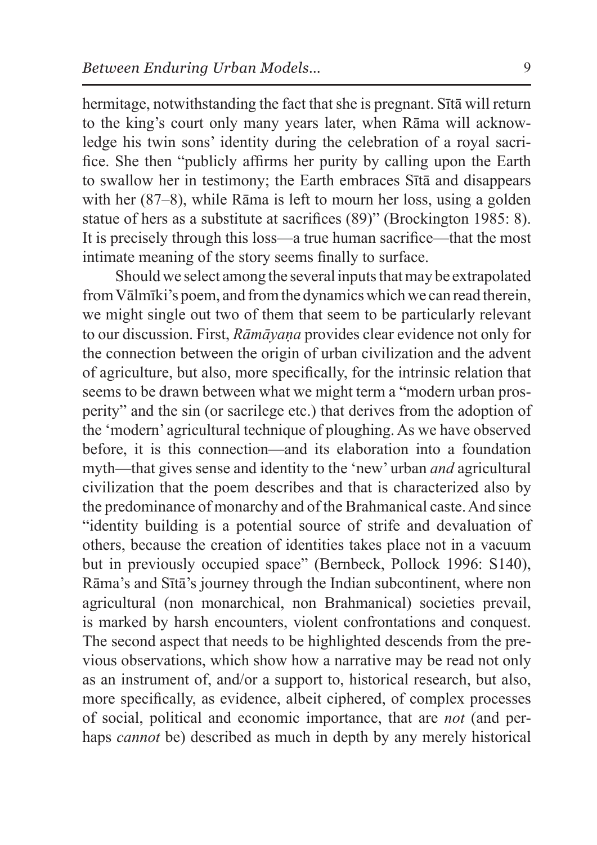hermitage, notwithstanding the fact that she is pregnant. Sītā will return to the king's court only many years later, when Rāma will acknowledge his twin sons' identity during the celebration of a royal sacrifice. She then "publicly affirms her purity by calling upon the Earth to swallow her in testimony; the Earth embraces Sītā and disappears with her (87–8), while Rāma is left to mourn her loss, using a golden statue of hers as a substitute at sacrifices (89)" (Brockington 1985: 8). It is precisely through this loss—a true human sacrifice—that the most intimate meaning of the story seems finally to surface.

Should we select among the several inputs that may be extrapolated from Vālmīki's poem, and from the dynamics which we can read therein, we might single out two of them that seem to be particularly relevant to our discussion. First, *Rāmāyaṇa* provides clear evidence not only for the connection between the origin of urban civilization and the advent of agriculture, but also, more specifically, for the intrinsic relation that seems to be drawn between what we might term a "modern urban prosperity" and the sin (or sacrilege etc.) that derives from the adoption of the 'modern' agricultural technique of ploughing. As we have observed before, it is this connection—and its elaboration into a foundation myth—that gives sense and identity to the 'new' urban *and* agricultural civilization that the poem describes and that is characterized also by the predominance of monarchy and of the Brahmanical caste. And since "identity building is a potential source of strife and devaluation of others, because the creation of identities takes place not in a vacuum but in previously occupied space" (Bernbeck, Pollock 1996: S140), Rāma's and Sītā's journey through the Indian subcontinent, where non agricultural (non monarchical, non Brahmanical) societies prevail, is marked by harsh encounters, violent confrontations and conquest. The second aspect that needs to be highlighted descends from the previous observations, which show how a narrative may be read not only as an instrument of, and/or a support to, historical research, but also, more specifically, as evidence, albeit ciphered, of complex processes of social, political and economic importance, that are *not* (and perhaps *cannot* be) described as much in depth by any merely historical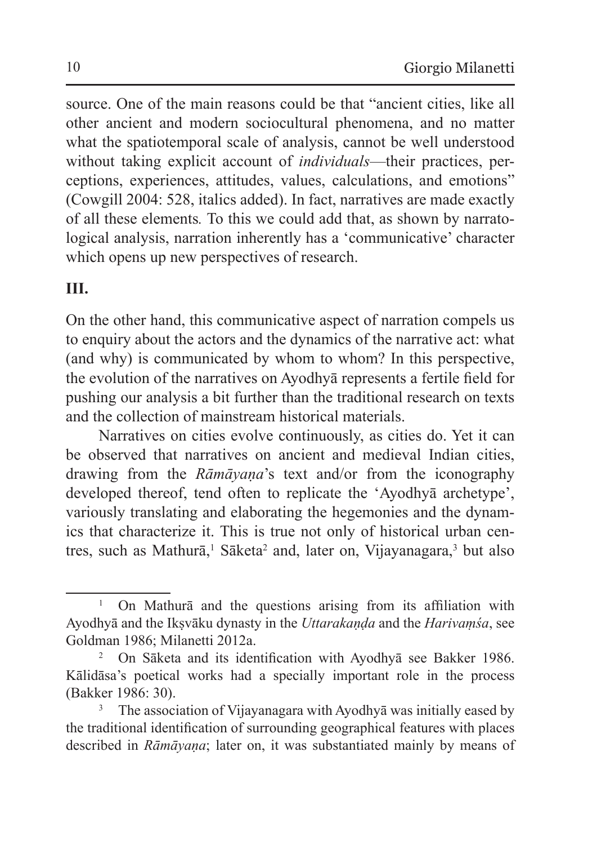source. One of the main reasons could be that "ancient cities, like all other ancient and modern sociocultural phenomena, and no matter what the spatiotemporal scale of analysis, cannot be well understood without taking explicit account of *individuals*—their practices, perceptions, experiences, attitudes, values, calculations, and emotions" (Cowgill 2004: 528, italics added). In fact, narratives are made exactly of all these elements*.* To this we could add that, as shown by narratological analysis, narration inherently has a 'communicative' character which opens up new perspectives of research.

#### **III.**

On the other hand, this communicative aspect of narration compels us to enquiry about the actors and the dynamics of the narrative act: what (and why) is communicated by whom to whom? In this perspective, the evolution of the narratives on Ayodhyā represents a fertile field for pushing our analysis a bit further than the traditional research on texts and the collection of mainstream historical materials.

Narratives on cities evolve continuously, as cities do. Yet it can be observed that narratives on ancient and medieval Indian cities, drawing from the *Rāmāyaṇa*'s text and/or from the iconography developed thereof, tend often to replicate the 'Ayodhyā archetype', variously translating and elaborating the hegemonies and the dynamics that characterize it. This is true not only of historical urban centres, such as Mathurā,<sup>1</sup> Sāketa<sup>2</sup> and, later on, Vijayanagara,<sup>3</sup> but also

<sup>&</sup>lt;sup>1</sup> On Mathura and the questions arising from its affiliation with Ayodhyā and the Ikṣvāku dynasty in the *Uttarakaṇḍa* and the *Harivaṃśa*, see Goldman 1986; Milanetti 2012a.

<sup>2</sup> On Sāketa and its identification with Ayodhyā see Bakker 1986. Kālidāsa's poetical works had a specially important role in the process (Bakker 1986: 30).<br><sup>3</sup> The association of Vijayanagara with Ayodhyā was initially eased by

the traditional identification of surrounding geographical features with places described in *Rāmāyaṇa*; later on, it was substantiated mainly by means of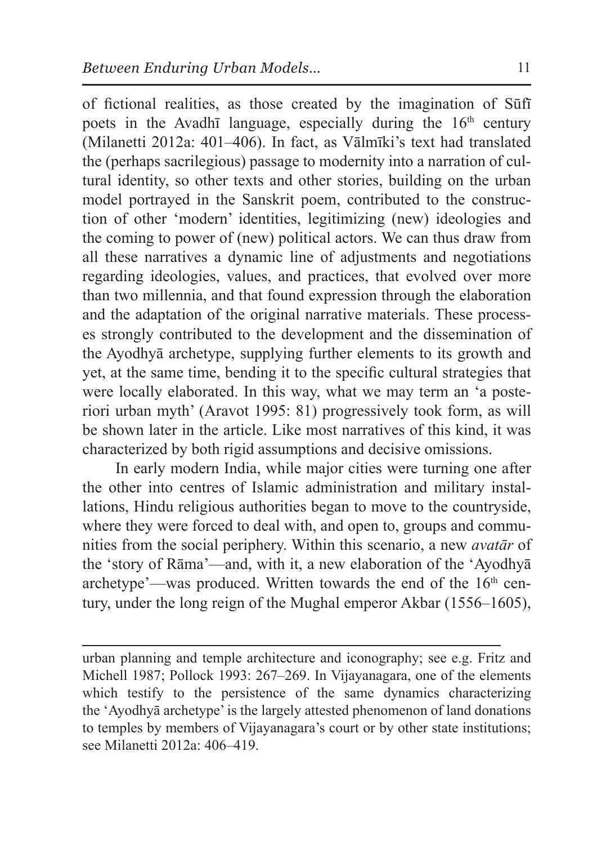of fictional realities, as those created by the imagination of Sūfī poets in the Avadhī language, especially during the  $16<sup>th</sup>$  century (Milanetti 2012a: 401–406). In fact, as Vālmīki's text had translated the (perhaps sacrilegious) passage to modernity into a narration of cultural identity, so other texts and other stories, building on the urban model portrayed in the Sanskrit poem, contributed to the construction of other 'modern' identities, legitimizing (new) ideologies and the coming to power of (new) political actors. We can thus draw from all these narratives a dynamic line of adjustments and negotiations regarding ideologies, values, and practices, that evolved over more than two millennia, and that found expression through the elaboration and the adaptation of the original narrative materials. These processes strongly contributed to the development and the dissemination of the Ayodhyā archetype, supplying further elements to its growth and yet, at the same time, bending it to the specific cultural strategies that were locally elaborated. In this way, what we may term an 'a posteriori urban myth' (Aravot 1995: 81) progressively took form, as will be shown later in the article. Like most narratives of this kind, it was characterized by both rigid assumptions and decisive omissions.

In early modern India, while major cities were turning one after the other into centres of Islamic administration and military installations, Hindu religious authorities began to move to the countryside, where they were forced to deal with, and open to, groups and communities from the social periphery. Within this scenario, a new *avatār* of the 'story of Rāma'—and, with it, a new elaboration of the 'Ayodhyā archetype'—was produced. Written towards the end of the  $16<sup>th</sup>$  century, under the long reign of the Mughal emperor Akbar (1556–1605),

urban planning and temple architecture and iconography; see e.g. Fritz and Michell 1987; Pollock 1993: 267–269. In Vijayanagara, one of the elements which testify to the persistence of the same dynamics characterizing the 'Ayodhyā archetype' is the largely attested phenomenon of land donations to temples by members of Vijayanagara's court or by other state institutions; see Milanetti 2012a: 406–419.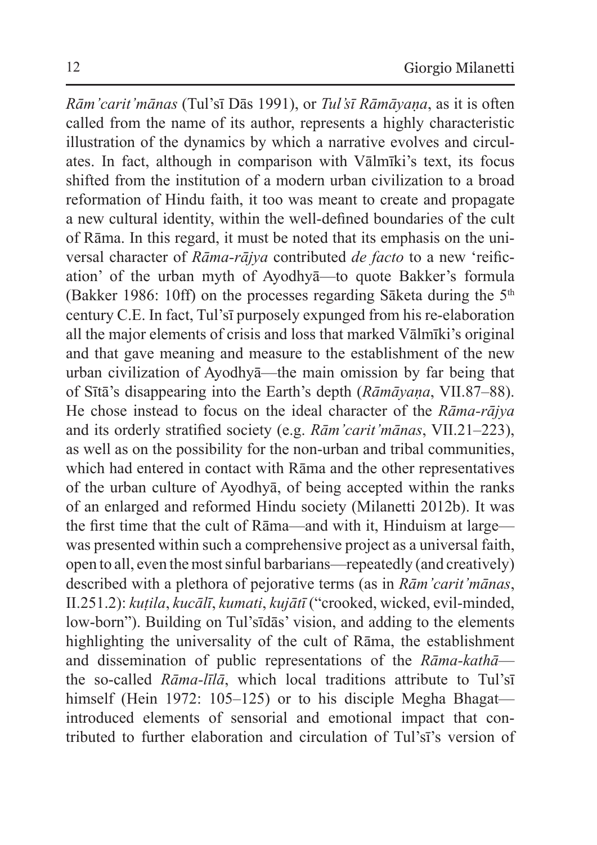*Rām'carit'mānas* (Tul'sī Dās 1991), or *Tul'sī Rāmāyaṇa*, as it is often called from the name of its author, represents a highly characteristic illustration of the dynamics by which a narrative evolves and circulates. In fact, although in comparison with Vālmīki's text, its focus shifted from the institution of a modern urban civilization to a broad reformation of Hindu faith, it too was meant to create and propagate a new cultural identity, within the well-defined boundaries of the cult of Rāma. In this regard, it must be noted that its emphasis on the universal character of *Rāma-rājya* contributed *de facto* to a new 'reification' of the urban myth of Ayodhyā—to quote Bakker's formula (Bakker 1986: 10ff) on the processes regarding Sāketa during the  $5<sup>th</sup>$ century C.E. In fact, Tul'sī purposely expunged from his re-elaboration all the major elements of crisis and loss that marked Vālmīki's original and that gave meaning and measure to the establishment of the new urban civilization of Ayodhyā—the main omission by far being that of Sītā's disappearing into the Earth's depth (*Rāmāyaṇa*, VII.87–88). He chose instead to focus on the ideal character of the *Rāma-rājya* and its orderly stratified society (e.g. *Rām'carit'mānas*, VII.21–223), as well as on the possibility for the non-urban and tribal communities, which had entered in contact with Rāma and the other representatives of the urban culture of Ayodhyā, of being accepted within the ranks of an enlarged and reformed Hindu society (Milanetti 2012b). It was the first time that the cult of Rāma—and with it, Hinduism at large was presented within such a comprehensive project as a universal faith, open to all, even themost sinful barbarians—repeatedly (and creatively) described with a plethora of pejorative terms (as in *Rām'carit'mānas*, II.251.2): *kuṭila*, *kucālī*, *kumati*, *kujātī* ("crooked, wicked, evil-minded, low-born"). Building on Tul'sīdās' vision, and adding to the elements highlighting the universality of the cult of Rāma, the establishment and dissemination of public representations of the *Rāma-kathā* the so-called *Rāma-līlā*, which local traditions attribute to Tul'sī himself (Hein 1972: 105–125) or to his disciple Megha Bhagat introduced elements of sensorial and emotional impact that contributed to further elaboration and circulation of Tul'sī's version of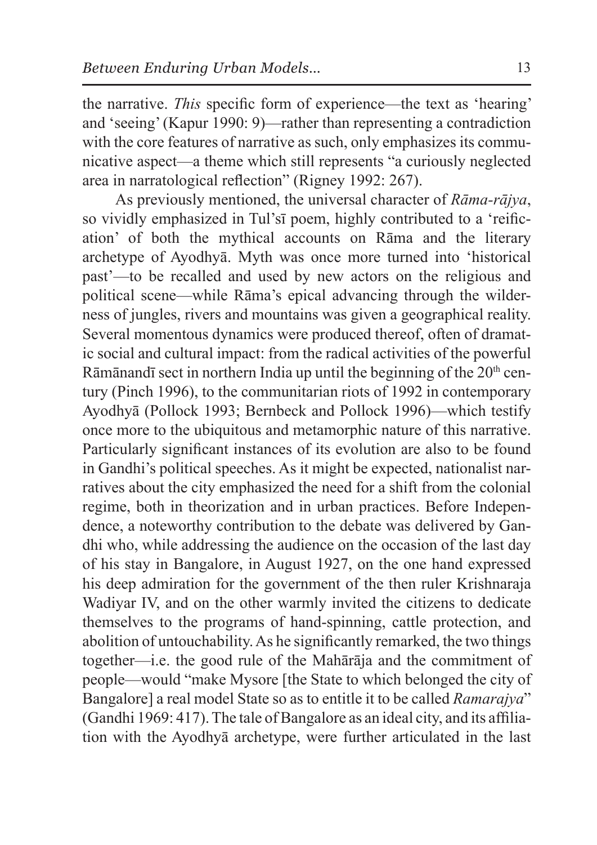the narrative. *This* specific form of experience—the text as 'hearing' and 'seeing' (Kapur 1990: 9)—rather than representing a contradiction with the core features of narrative as such, only emphasizes its communicative aspect—a theme which still represents "a curiously neglected area in narratological reflection" (Rigney 1992: 267).

As previously mentioned, the universal character of *Rāma-rājya*, so vividly emphasized in Tul'sī poem, highly contributed to a 'reification' of both the mythical accounts on Rāma and the literary archetype of Ayodhyā. Myth was once more turned into 'historical past'—to be recalled and used by new actors on the religious and political scene—while Rāma's epical advancing through the wilderness of jungles, rivers and mountains was given a geographical reality. Several momentous dynamics were produced thereof, often of dramatic social and cultural impact: from the radical activities of the powerful Rāmānandī sect in northern India up until the beginning of the  $20<sup>th</sup>$  century (Pinch 1996), to the communitarian riots of 1992 in contemporary Ayodhyā (Pollock 1993; Bernbeck and Pollock 1996)—which testify once more to the ubiquitous and metamorphic nature of this narrative. Particularly significant instances of its evolution are also to be found in Gandhi's political speeches. As it might be expected, nationalist narratives about the city emphasized the need for a shift from the colonial regime, both in theorization and in urban practices. Before Independence, a noteworthy contribution to the debate was delivered by Gandhi who, while addressing the audience on the occasion of the last day of his stay in Bangalore, in August 1927, on the one hand expressed his deep admiration for the government of the then ruler Krishnaraja Wadiyar IV, and on the other warmly invited the citizens to dedicate themselves to the programs of hand-spinning, cattle protection, and abolition of untouchability. As he significantly remarked, the two things together—i.e. the good rule of the Mahārāja and the commitment of people—would "make Mysore [the State to which belonged the city of Bangalore] a real model State so as to entitle it to be called *Ramarajya*" (Gandhi 1969: 417). The tale of Bangalore as an ideal city, and its affiliation with the Ayodhyā archetype, were further articulated in the last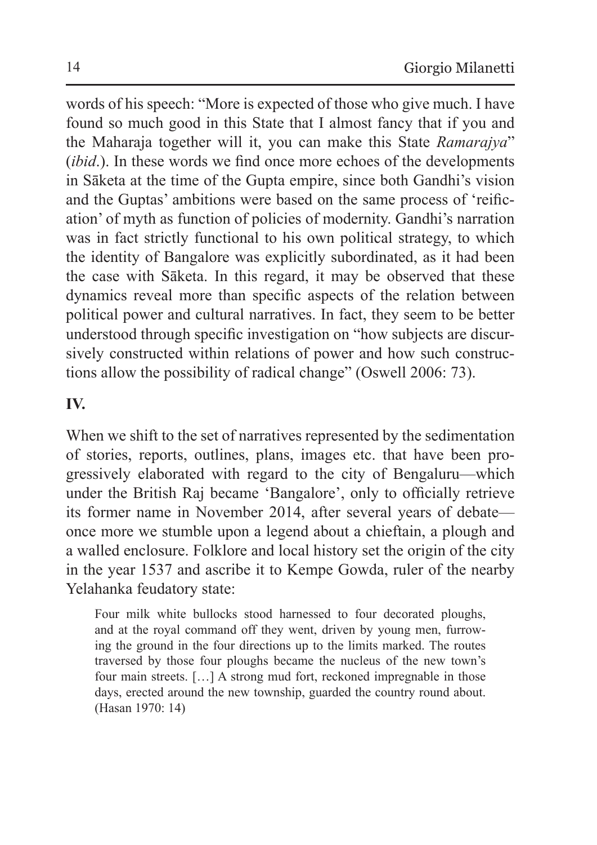words of his speech: "More is expected of those who give much. I have found so much good in this State that I almost fancy that if you and the Maharaja together will it, you can make this State *Ramarajya*" (*ibid*.). In these words we find once more echoes of the developments in Sāketa at the time of the Gupta empire, since both Gandhi's vision and the Guptas' ambitions were based on the same process of 'reification' of myth as function of policies of modernity. Gandhi's narration was in fact strictly functional to his own political strategy, to which the identity of Bangalore was explicitly subordinated, as it had been the case with Sāketa. In this regard, it may be observed that these dynamics reveal more than specific aspects of the relation between political power and cultural narratives. In fact, they seem to be better understood through specific investigation on "how subjects are discursively constructed within relations of power and how such constructions allow the possibility of radical change" (Oswell 2006: 73).

## **IV.**

When we shift to the set of narratives represented by the sedimentation of stories, reports, outlines, plans, images etc. that have been progressively elaborated with regard to the city of Bengaluru—which under the British Raj became 'Bangalore', only to officially retrieve its former name in November 2014, after several years of debate once more we stumble upon a legend about a chieftain, a plough and a walled enclosure. Folklore and local history set the origin of the city in the year 1537 and ascribe it to Kempe Gowda, ruler of the nearby Yelahanka feudatory state:

Four milk white bullocks stood harnessed to four decorated ploughs, and at the royal command off they went, driven by young men, furrowing the ground in the four directions up to the limits marked. The routes traversed by those four ploughs became the nucleus of the new town's four main streets. […] A strong mud fort, reckoned impregnable in those days, erected around the new township, guarded the country round about. (Hasan 1970: 14)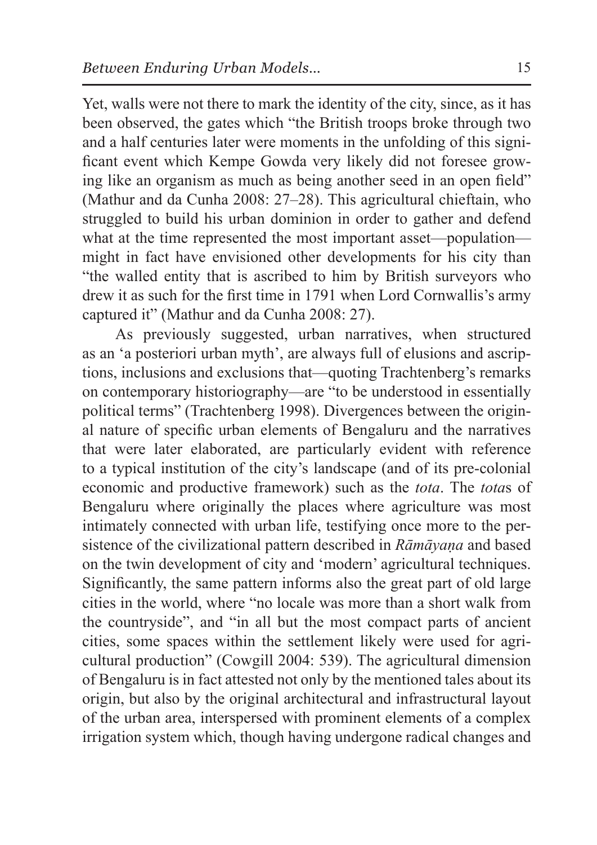Yet, walls were not there to mark the identity of the city, since, as it has been observed, the gates which "the British troops broke through two and a half centuries later were moments in the unfolding of this significant event which Kempe Gowda very likely did not foresee growing like an organism as much as being another seed in an open field" (Mathur and da Cunha 2008: 27–28). This agricultural chieftain, who struggled to build his urban dominion in order to gather and defend what at the time represented the most important asset—population might in fact have envisioned other developments for his city than "the walled entity that is ascribed to him by British surveyors who drew it as such for the first time in 1791 when Lord Cornwallis's army captured it" (Mathur and da Cunha 2008: 27).

As previously suggested, urban narratives, when structured as an 'a posteriori urban myth', are always full of elusions and ascriptions, inclusions and exclusions that—quoting Trachtenberg's remarks on contemporary historiography—are "to be understood in essentially political terms" (Trachtenberg 1998). Divergences between the original nature of specific urban elements of Bengaluru and the narratives that were later elaborated, are particularly evident with reference to a typical institution of the city's landscape (and of its pre-colonial economic and productive framework) such as the *tota*. The *tota*s of Bengaluru where originally the places where agriculture was most intimately connected with urban life, testifying once more to the persistence of the civilizational pattern described in *Rāmāyaṇa* and based on the twin development of city and 'modern' agricultural techniques. Significantly, the same pattern informs also the great part of old large cities in the world, where "no locale was more than a short walk from the countryside", and "in all but the most compact parts of ancient cities, some spaces within the settlement likely were used for agricultural production" (Cowgill 2004: 539). The agricultural dimension of Bengaluru is in fact attested not only by the mentioned tales about its origin, but also by the original architectural and infrastructural layout of the urban area, interspersed with prominent elements of a complex irrigation system which, though having undergone radical changes and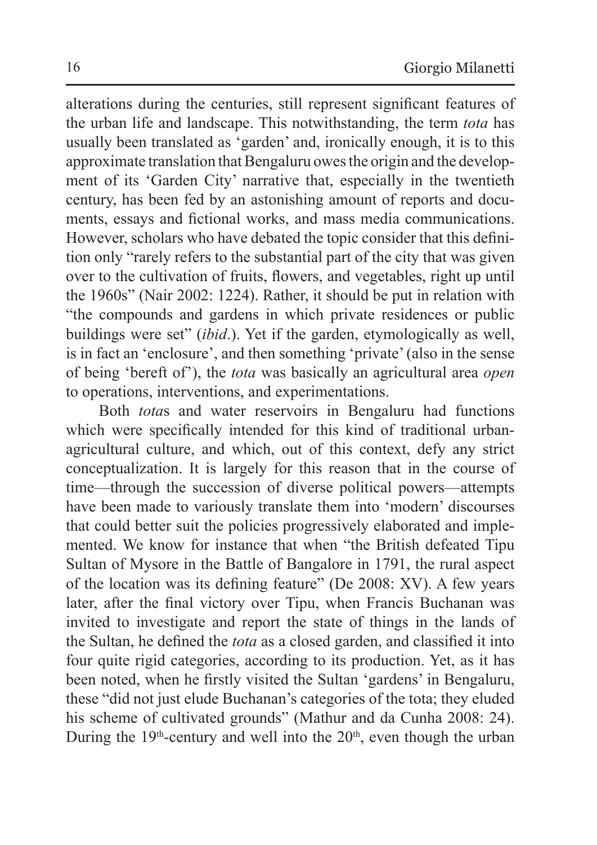alterations during the centuries, still represent significant features of the urban life and landscape. This notwithstanding, the term *tota* has usually been translated as 'garden' and, ironically enough, it is to this approximate translation that Bengaluru owes the origin and the development of its 'Garden City' narrative that, especially in the twentieth century, has been fed by an astonishing amount of reports and documents, essays and fictional works, and mass media communications. However, scholars who have debated the topic consider that this definition only "rarely refers to the substantial part of the city that was given over to the cultivation of fruits, flowers, and vegetables, right up until the 1960s" (Nair 2002: 1224). Rather, it should be put in relation with "the compounds and gardens in which private residences or public buildings were set" (*ibid*.). Yet if the garden, etymologically as well, is in fact an 'enclosure', and then something 'private' (also in the sense of being 'bereft of'), the *tota* was basically an agricultural area *open* to operations, interventions, and experimentations.

Both *tota*s and water reservoirs in Bengaluru had functions which were specifically intended for this kind of traditional urbanagricultural culture, and which, out of this context, defy any strict conceptualization. It is largely for this reason that in the course of time—through the succession of diverse political powers—attempts have been made to variously translate them into 'modern' discourses that could better suit the policies progressively elaborated and implemented. We know for instance that when "the British defeated Tipu Sultan of Mysore in the Battle of Bangalore in 1791, the rural aspect of the location was its defining feature" (De 2008: XV). A few years later, after the final victory over Tipu, when Francis Buchanan was invited to investigate and report the state of things in the lands of the Sultan, he defined the *tota* as a closed garden, and classified it into four quite rigid categories, according to its production. Yet, as it has been noted, when he firstly visited the Sultan 'gardens' in Bengaluru, these "did not just elude Buchanan's categories of the tota; they eluded his scheme of cultivated grounds" (Mathur and da Cunha 2008: 24). During the  $19<sup>th</sup>$ -century and well into the  $20<sup>th</sup>$ , even though the urban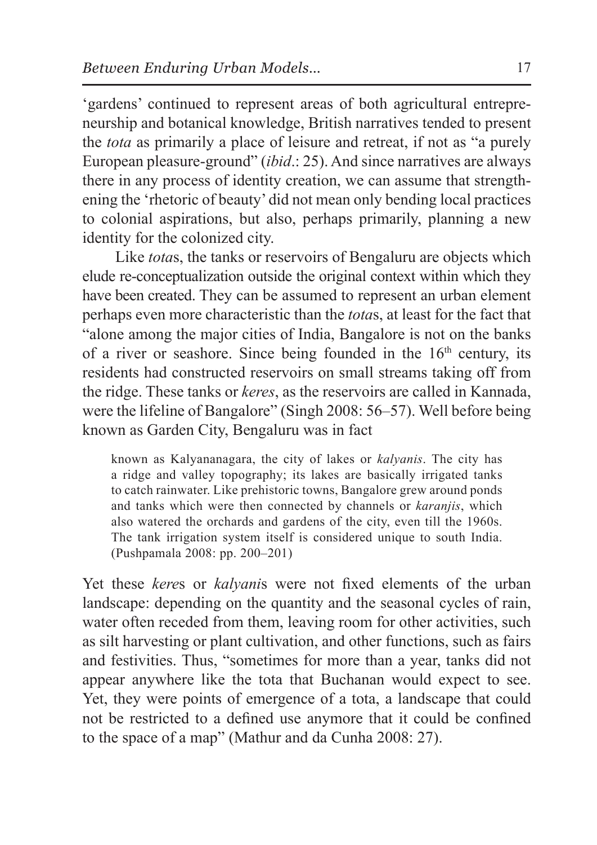'gardens' continued to represent areas of both agricultural entrepreneurship and botanical knowledge, British narratives tended to present the *tota* as primarily a place of leisure and retreat, if not as "a purely European pleasure-ground" (*ibid*.: 25). And since narratives are always there in any process of identity creation, we can assume that strengthening the 'rhetoric of beauty' did not mean only bending local practices to colonial aspirations, but also, perhaps primarily, planning a new identity for the colonized city.

Like *tota*s, the tanks or reservoirs of Bengaluru are objects which elude re-conceptualization outside the original context within which they have been created. They can be assumed to represent an urban element perhaps even more characteristic than the *tota*s, at least for the fact that "alone among the major cities of India, Bangalore is not on the banks of a river or seashore. Since being founded in the  $16<sup>th</sup>$  century, its residents had constructed reservoirs on small streams taking off from the ridge. These tanks or *keres*, as the reservoirs are called in Kannada, were the lifeline of Bangalore" (Singh 2008: 56–57). Well before being known as Garden City, Bengaluru was in fact

known as Kalyananagara, the city of lakes or *kalyanis*. The city has a ridge and valley topography; its lakes are basically irrigated tanks to catch rainwater. Like prehistoric towns, Bangalore grew around ponds and tanks which were then connected by channels or *karanjis*, which also watered the orchards and gardens of the city, even till the 1960s. The tank irrigation system itself is considered unique to south India. (Pushpamala 2008: pp. 200–201)

Yet these *kere*s or *kalyani*s were not fixed elements of the urban landscape: depending on the quantity and the seasonal cycles of rain, water often receded from them, leaving room for other activities, such as silt harvesting or plant cultivation, and other functions, such as fairs and festivities. Thus, "sometimes for more than a year, tanks did not appear anywhere like the tota that Buchanan would expect to see. Yet, they were points of emergence of a tota, a landscape that could not be restricted to a defined use anymore that it could be confined to the space of a map" (Mathur and da Cunha 2008: 27).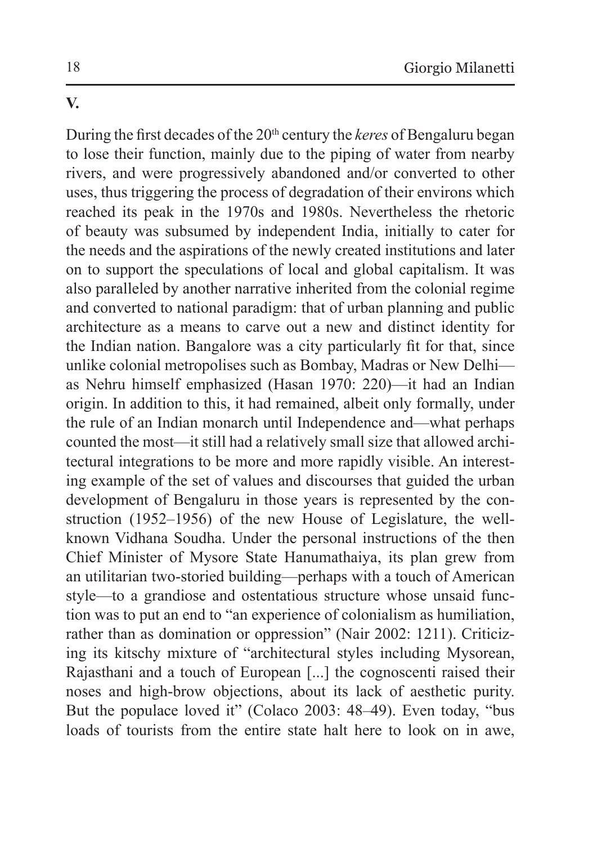### **V.**

During the first decades of the 20<sup>th</sup> century the *keres* of Bengaluru began to lose their function, mainly due to the piping of water from nearby rivers, and were progressively abandoned and/or converted to other uses, thus triggering the process of degradation of their environs which reached its peak in the 1970s and 1980s. Nevertheless the rhetoric of beauty was subsumed by independent India, initially to cater for the needs and the aspirations of the newly created institutions and later on to support the speculations of local and global capitalism. It was also paralleled by another narrative inherited from the colonial regime and converted to national paradigm: that of urban planning and public architecture as a means to carve out a new and distinct identity for the Indian nation. Bangalore was a city particularly fit for that, since unlike colonial metropolises such as Bombay, Madras or New Delhi as Nehru himself emphasized (Hasan 1970: 220)—it had an Indian origin. In addition to this, it had remained, albeit only formally, under the rule of an Indian monarch until Independence and—what perhaps counted the most—it still had a relatively small size that allowed architectural integrations to be more and more rapidly visible. An interesting example of the set of values and discourses that guided the urban development of Bengaluru in those years is represented by the construction (1952–1956) of the new House of Legislature, the wellknown Vidhana Soudha. Under the personal instructions of the then Chief Minister of Mysore State Hanumathaiya, its plan grew from an utilitarian two-storied building—perhaps with a touch of American style—to a grandiose and ostentatious structure whose unsaid function was to put an end to "an experience of colonialism as humiliation, rather than as domination or oppression" (Nair 2002: 1211). Criticizing its kitschy mixture of "architectural styles including Mysorean, Rajasthani and a touch of European [...] the cognoscenti raised their noses and high-brow objections, about its lack of aesthetic purity. But the populace loved it" (Colaco 2003: 48–49). Even today, "bus loads of tourists from the entire state halt here to look on in awe,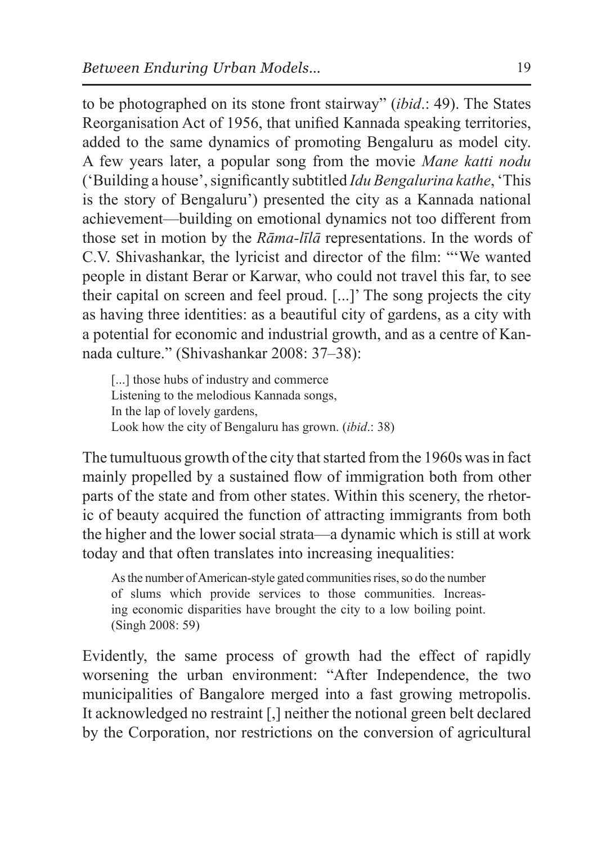to be photographed on its stone front stairway" (*ibid*.: 49). The States Reorganisation Act of 1956, that unified Kannada speaking territories, added to the same dynamics of promoting Bengaluru as model city. A few years later, a popular song from the movie *Mane katti nodu* ('Building a house', significantly subtitled *Idu Bengalurina kathe*, 'This is the story of Bengaluru') presented the city as a Kannada national achievement—building on emotional dynamics not too different from those set in motion by the *Rāma-līlā* representations. In the words of C.V. Shivashankar, the lyricist and director of the film: "'We wanted people in distant Berar or Karwar, who could not travel this far, to see their capital on screen and feel proud. [...]' The song projects the city as having three identities: as a beautiful city of gardens, as a city with a potential for economic and industrial growth, and as a centre of Kannada culture." (Shivashankar 2008: 37–38):

[...] those hubs of industry and commerce Listening to the melodious Kannada songs, In the lap of lovely gardens, Look how the city of Bengaluru has grown. (*ibid*.: 38)

The tumultuous growth of the city that started from the 1960s was in fact mainly propelled by a sustained flow of immigration both from other parts of the state and from other states. Within this scenery, the rhetoric of beauty acquired the function of attracting immigrants from both the higher and the lower social strata—a dynamic which is still at work today and that often translates into increasing inequalities:

As the number of American-style gated communities rises, so do the number of slums which provide services to those communities. Increasing economic disparities have brought the city to a low boiling point. (Singh 2008: 59)

Evidently, the same process of growth had the effect of rapidly worsening the urban environment: "After Independence, the two municipalities of Bangalore merged into a fast growing metropolis. It acknowledged no restraint [,] neither the notional green belt declared by the Corporation, nor restrictions on the conversion of agricultural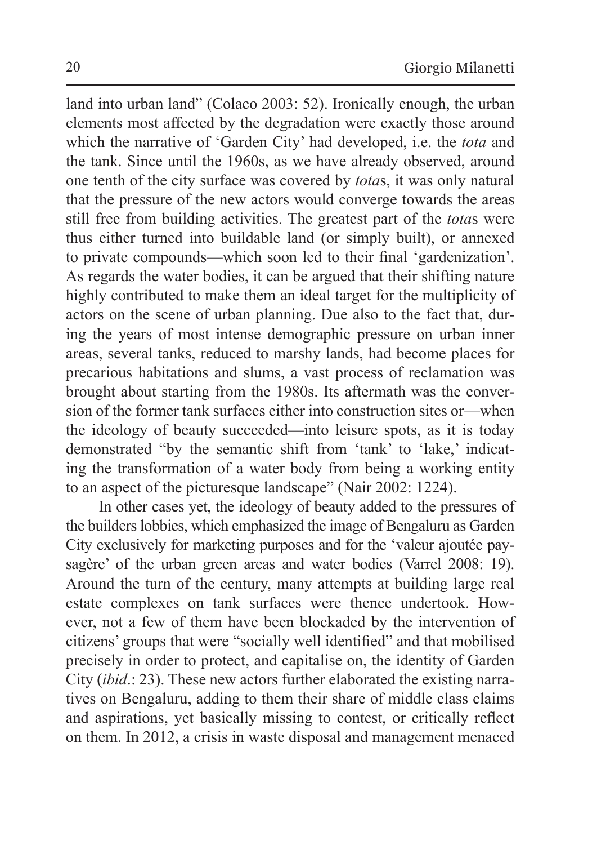land into urban land" (Colaco 2003: 52). Ironically enough, the urban elements most affected by the degradation were exactly those around which the narrative of 'Garden City' had developed, i.e. the *tota* and the tank. Since until the 1960s, as we have already observed, around one tenth of the city surface was covered by *tota*s, it was only natural that the pressure of the new actors would converge towards the areas still free from building activities. The greatest part of the *tota*s were thus either turned into buildable land (or simply built), or annexed to private compounds—which soon led to their final 'gardenization'. As regards the water bodies, it can be argued that their shifting nature highly contributed to make them an ideal target for the multiplicity of actors on the scene of urban planning. Due also to the fact that, during the years of most intense demographic pressure on urban inner areas, several tanks, reduced to marshy lands, had become places for precarious habitations and slums, a vast process of reclamation was brought about starting from the 1980s. Its aftermath was the conversion of the former tank surfaces either into construction sites or—when the ideology of beauty succeeded—into leisure spots, as it is today demonstrated "by the semantic shift from 'tank' to 'lake,' indicating the transformation of a water body from being a working entity to an aspect of the picturesque landscape" (Nair 2002: 1224).

In other cases yet, the ideology of beauty added to the pressures of the builders lobbies, which emphasized the image of Bengaluru as Garden City exclusively for marketing purposes and for the 'valeur ajoutée paysagère' of the urban green areas and water bodies (Varrel 2008: 19). Around the turn of the century, many attempts at building large real estate complexes on tank surfaces were thence undertook. However, not a few of them have been blockaded by the intervention of citizens' groups that were "socially well identified" and that mobilised precisely in order to protect, and capitalise on, the identity of Garden City (*ibid*.: 23). These new actors further elaborated the existing narratives on Bengaluru, adding to them their share of middle class claims and aspirations, yet basically missing to contest, or critically reflect on them. In 2012, a crisis in waste disposal and management menaced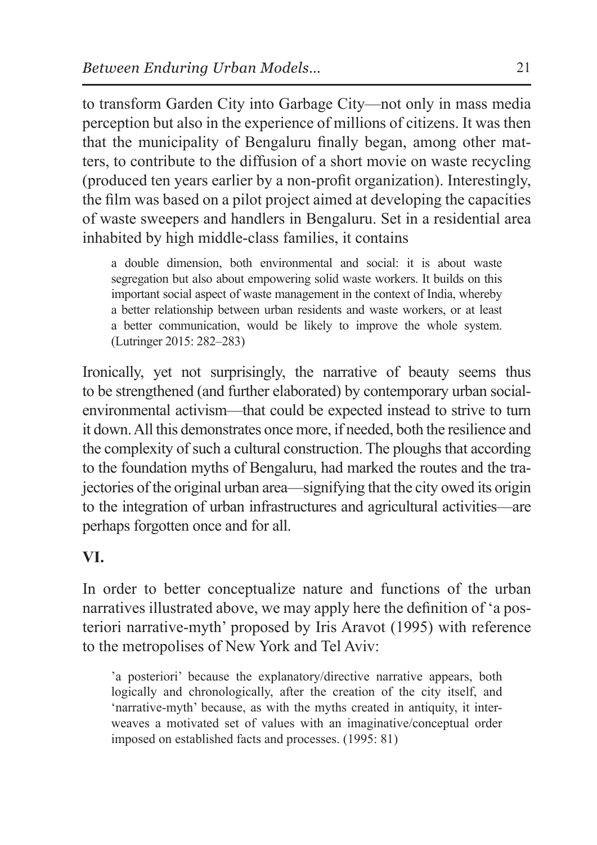to transform Garden City into Garbage City—not only in mass media perception but also in the experience of millions of citizens. It was then that the municipality of Bengaluru finally began, among other matters, to contribute to the diffusion of a short movie on waste recycling (produced ten years earlier by a non-profit organization). Interestingly, the film was based on a pilot project aimed at developing the capacities of waste sweepers and handlers in Bengaluru. Set in a residential area inhabited by high middle-class families, it contains

a double dimension, both environmental and social: it is about waste segregation but also about empowering solid waste workers. It builds on this important social aspect of waste management in the context of India, whereby a better relationship between urban residents and waste workers, or at least a better communication, would be likely to improve the whole system. (Lutringer 2015: 282–283)

Ironically, yet not surprisingly, the narrative of beauty seems thus to be strengthened (and further elaborated) by contemporary urban socialenvironmental activism—that could be expected instead to strive to turn it down. All this demonstrates once more, if needed, both the resilience and the complexity of such a cultural construction. The ploughs that according to the foundation myths of Bengaluru, had marked the routes and the trajectories of the original urban area—signifying that the city owed its origin to the integration of urban infrastructures and agricultural activities—are perhaps forgotten once and for all.

# **VI.**

In order to better conceptualize nature and functions of the urban narratives illustrated above, we may apply here the definition of 'a posteriori narrative-myth' proposed by Iris Aravot (1995) with reference to the metropolises of New York and Tel Aviv:

'a posteriori' because the explanatory/directive narrative appears, both logically and chronologically, after the creation of the city itself, and 'narrative-myth' because, as with the myths created in antiquity, it interweaves a motivated set of values with an imaginative/conceptual order imposed on established facts and processes. (1995: 81)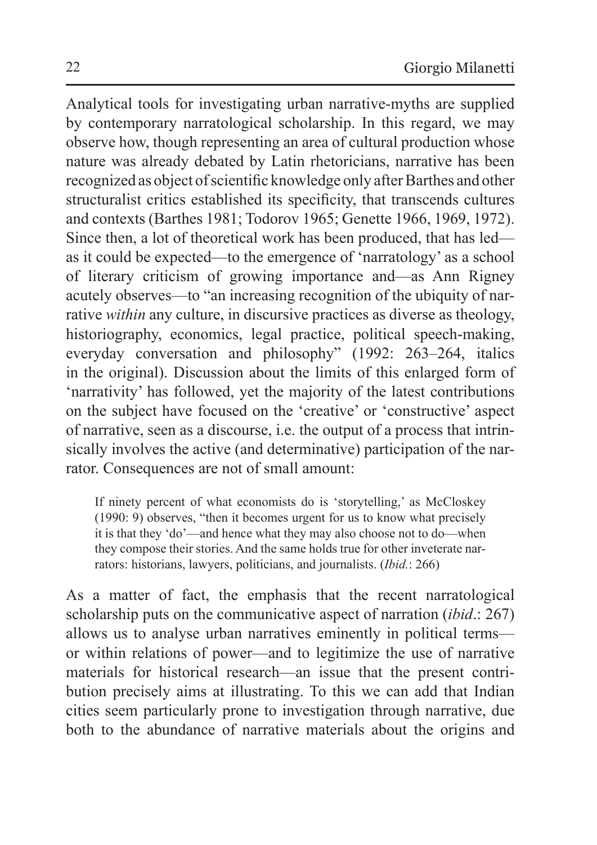Analytical tools for investigating urban narrative-myths are supplied by contemporary narratological scholarship. In this regard, we may observe how, though representing an area of cultural production whose nature was already debated by Latin rhetoricians, narrative has been recognized as object of scientific knowledge only after Barthes and other structuralist critics established its specificity, that transcends cultures and contexts (Barthes 1981; Todorov 1965; Genette 1966, 1969, 1972). Since then, a lot of theoretical work has been produced, that has led as it could be expected—to the emergence of 'narratology' as a school of literary criticism of growing importance and—as Ann Rigney acutely observes—to "an increasing recognition of the ubiquity of narrative *within* any culture, in discursive practices as diverse as theology, historiography, economics, legal practice, political speech-making, everyday conversation and philosophy" (1992: 263–264, italics in the original). Discussion about the limits of this enlarged form of 'narrativity' has followed, yet the majority of the latest contributions on the subject have focused on the 'creative' or 'constructive' aspect of narrative, seen as a discourse, i.e. the output of a process that intrinsically involves the active (and determinative) participation of the narrator. Consequences are not of small amount:

If ninety percent of what economists do is 'storytelling,' as McCloskey (1990: 9) observes, "then it becomes urgent for us to know what precisely it is that they 'do'—and hence what they may also choose not to do—when they compose their stories. And the same holds true for other inveterate narrators: historians, lawyers, politicians, and journalists. (*Ibid.*: 266)

As a matter of fact, the emphasis that the recent narratological scholarship puts on the communicative aspect of narration (*ibid*.: 267) allows us to analyse urban narratives eminently in political terms or within relations of power—and to legitimize the use of narrative materials for historical research—an issue that the present contribution precisely aims at illustrating. To this we can add that Indian cities seem particularly prone to investigation through narrative, due both to the abundance of narrative materials about the origins and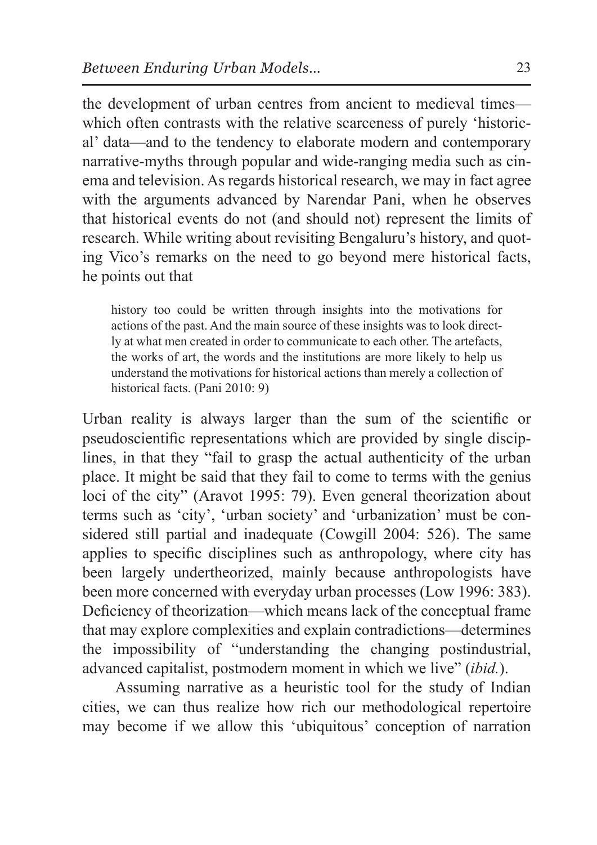the development of urban centres from ancient to medieval times which often contrasts with the relative scarceness of purely 'historical' data—and to the tendency to elaborate modern and contemporary narrative-myths through popular and wide-ranging media such as cinema and television. As regards historical research, we may in fact agree with the arguments advanced by Narendar Pani, when he observes that historical events do not (and should not) represent the limits of research. While writing about revisiting Bengaluru's history, and quoting Vico's remarks on the need to go beyond mere historical facts, he points out that

history too could be written through insights into the motivations for actions of the past. And the main source of these insights was to look directly at what men created in order to communicate to each other. The artefacts, the works of art, the words and the institutions are more likely to help us understand the motivations for historical actions than merely a collection of historical facts. (Pani 2010: 9)

Urban reality is always larger than the sum of the scientific or pseudoscientific representations which are provided by single disciplines, in that they "fail to grasp the actual authenticity of the urban place. It might be said that they fail to come to terms with the genius loci of the city" (Aravot 1995: 79). Even general theorization about terms such as 'city', 'urban society' and 'urbanization' must be considered still partial and inadequate (Cowgill 2004: 526). The same applies to specific disciplines such as anthropology, where city has been largely undertheorized, mainly because anthropologists have been more concerned with everyday urban processes (Low 1996: 383). Deficiency of theorization—which means lack of the conceptual frame that may explore complexities and explain contradictions—determines the impossibility of "understanding the changing postindustrial, advanced capitalist, postmodern moment in which we live" (*ibid.*).

Assuming narrative as a heuristic tool for the study of Indian cities, we can thus realize how rich our methodological repertoire may become if we allow this 'ubiquitous' conception of narration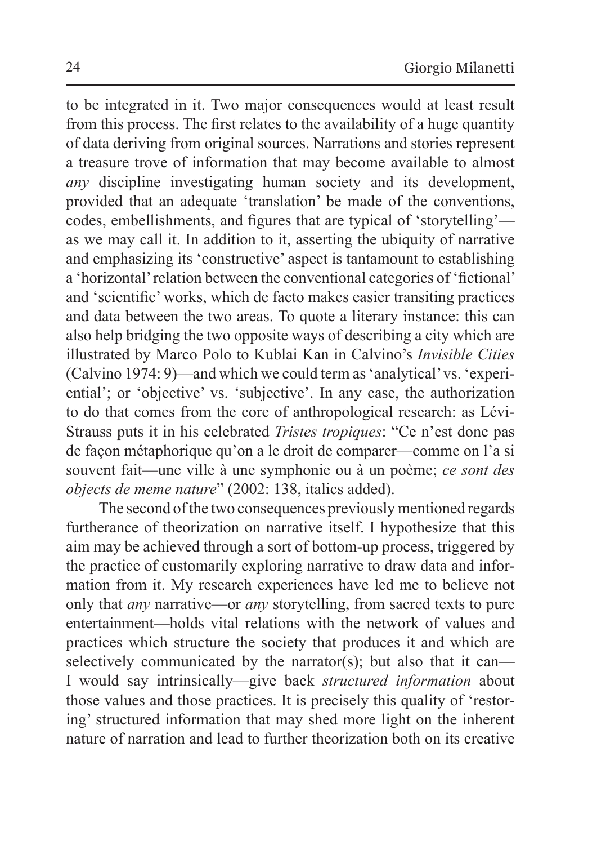to be integrated in it. Two major consequences would at least result from this process. The first relates to the availability of a huge quantity of data deriving from original sources. Narrations and stories represent a treasure trove of information that may become available to almost *any* discipline investigating human society and its development, provided that an adequate 'translation' be made of the conventions, codes, embellishments, and figures that are typical of 'storytelling' as we may call it. In addition to it, asserting the ubiquity of narrative and emphasizing its 'constructive' aspect is tantamount to establishing a 'horizontal' relation between the conventional categories of 'fictional' and 'scientific' works, which de facto makes easier transiting practices and data between the two areas. To quote a literary instance: this can also help bridging the two opposite ways of describing a city which are illustrated by Marco Polo to Kublai Kan in Calvino's *Invisible Cities* (Calvino 1974: 9)—and which we could term as'analytical' vs. 'experiential'; or 'objective' vs. 'subjective'. In any case, the authorization to do that comes from the core of anthropological research: as Lévi-Strauss puts it in his celebrated *Tristes tropiques*: "Ce n'est donc pas de façon métaphorique qu'on a le droit de comparer—comme on l'a si souvent fait—une ville à une symphonie ou à un poème; *ce sont des objects de meme nature*" (2002: 138, italics added).

The second of the two consequences previously mentioned regards furtherance of theorization on narrative itself. I hypothesize that this aim may be achieved through a sort of bottom-up process, triggered by the practice of customarily exploring narrative to draw data and information from it. My research experiences have led me to believe not only that *any* narrative—or *any* storytelling, from sacred texts to pure entertainment—holds vital relations with the network of values and practices which structure the society that produces it and which are selectively communicated by the narrator(s); but also that it can— I would say intrinsically—give back *structured information* about those values and those practices. It is precisely this quality of 'restoring' structured information that may shed more light on the inherent nature of narration and lead to further theorization both on its creative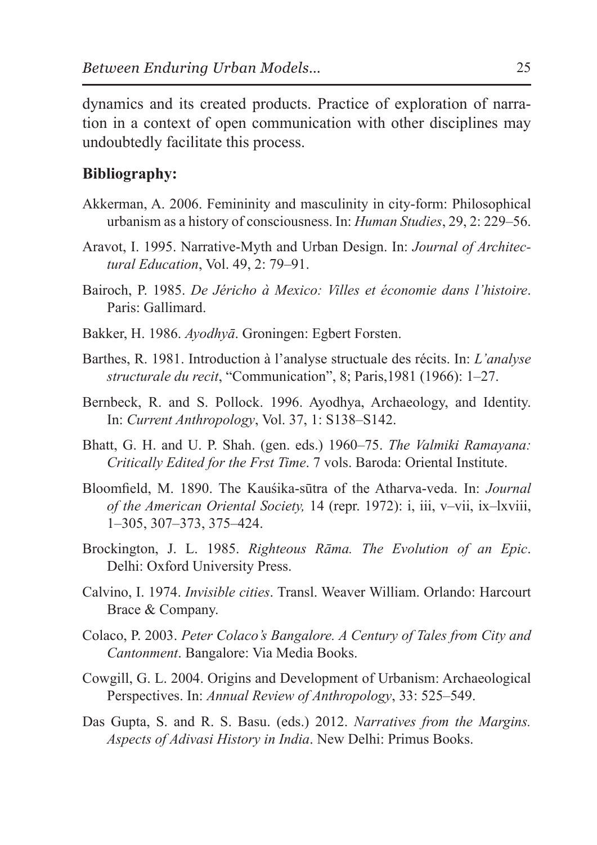dynamics and its created products. Practice of exploration of narration in a context of open communication with other disciplines may undoubtedly facilitate this process.

### **Bibliography:**

- Akkerman, A. 2006. Femininity and masculinity in city-form: Philosophical urbanism as a history of consciousness. In: *Human Studies*, 29, 2: 229–56.
- Aravot, I. 1995. Narrative-Myth and Urban Design. In: *Journal of Architectural Education*, Vol. 49, 2: 79–91.
- Bairoch, P. 1985. *De Jéricho à Mexico: Villes et économie dans l'histoire*. Paris: Gallimard.
- Bakker, H. 1986. *Ayodhyā*. Groningen: Egbert Forsten.
- Barthes, R. 1981. Introduction à l'analyse structuale des récits. In: *L'analyse structurale du recit*, "Communication", 8; Paris,1981 (1966): 1–27.
- Bernbeck, R. and S. Pollock. 1996. Ayodhya, Archaeology, and Identity. In: *Current Anthropology*, Vol. 37, 1: S138–S142.
- Bhatt, G. H. and U. P. Shah. (gen. eds.) 1960–75. *The Valmiki Ramayana: Critically Edited for the Frst Time*. 7 vols. Baroda: Oriental Institute.
- Bloomfield, M. 1890. The Kauśika-sūtra of the Atharva-veda. In: *Journal of the American Oriental Society,* 14 (repr. 1972): i, iii, v–vii, ix–lxviii, 1–305, 307–373, 375–424.
- Brockington, J. L. 1985. *Righteous Rāma. The Evolution of an Epic*. Delhi: Oxford University Press.
- Calvino, I. 1974. *Invisible cities*. Transl. Weaver William. Orlando: Harcourt Brace & Company.
- Colaco, P. 2003. *Peter Colaco's Bangalore. A Century of Tales from City and Cantonment*. Bangalore: Via Media Books.
- Cowgill, G. L. 2004. Origins and Development of Urbanism: Archaeological Perspectives. In: *Annual Review of Anthropology*, 33: 525–549.
- Das Gupta, S. and R. S. Basu. (eds.) 2012. *Narratives from the Margins. Aspects of Adivasi History in India*. New Delhi: Primus Books.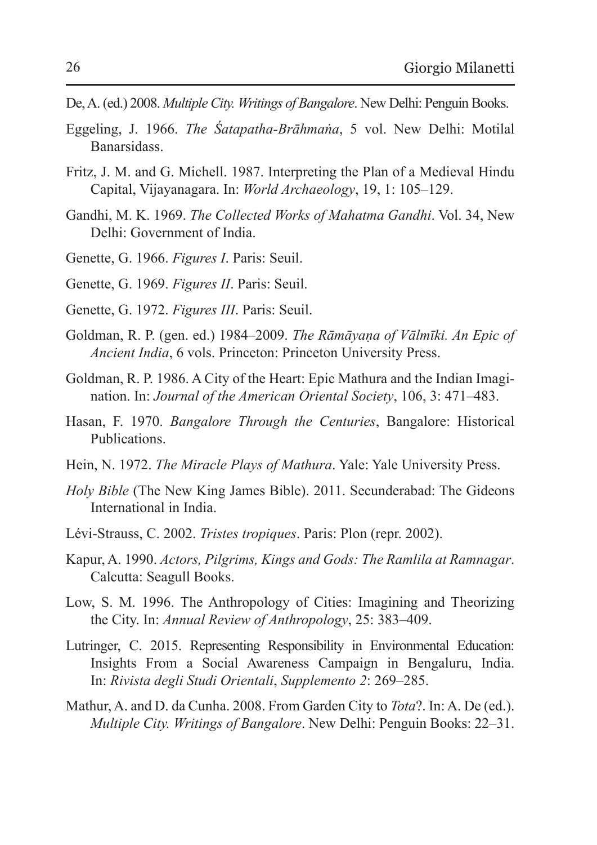- De, A. (ed.) 2008. *Multiple City. Writings of Bangalore*. New Delhi: Penguin Books.
- Eggeling, J. 1966. *The Śatapatha-Brāhmaṅa*, 5 vol. New Delhi: Motilal Banarsidass.
- Fritz, J. M. and G. Michell. 1987. Interpreting the Plan of a Medieval Hindu Capital, Vijayanagara. In: *World Archaeology*, 19, 1: 105–129.
- Gandhi, M. K. 1969. *The Collected Works of Mahatma Gandhi*. Vol. 34, New Delhi: Government of India.
- Genette, G. 1966. *Figures I*. Paris: Seuil.
- Genette, G. 1969. *Figures II*. Paris: Seuil.
- Genette, G. 1972. *Figures III*. Paris: Seuil.
- Goldman, R. P. (gen. ed.) 1984–2009. *The Rāmāyaṇa of Vālmīki. An Epic of Ancient India*, 6 vols. Princeton: Princeton University Press.
- Goldman, R. P. 1986. A City of the Heart: Epic Mathura and the Indian Imagination. In: *Journal of the American Oriental Society*, 106, 3: 471–483.
- Hasan, F. 1970. *Bangalore Through the Centuries*, Bangalore: Historical Publications.
- Hein, N. 1972. *The Miracle Plays of Mathura*. Yale: Yale University Press.
- *Holy Bible* (The New King James Bible). 2011. Secunderabad: The Gideons International in India.
- Lévi-Strauss, C. 2002. *Tristes tropiques*. Paris: Plon (repr. 2002).
- Kapur, A. 1990. *Actors, Pilgrims, Kings and Gods: The Ramlila at Ramnagar*. Calcutta: Seagull Books.
- Low, S. M. 1996. The Anthropology of Cities: Imagining and Theorizing the City. In: *Annual Review of Anthropology*, 25: 383–409.
- Lutringer, C. 2015. Representing Responsibility in Environmental Education: Insights From a Social Awareness Campaign in Bengaluru, India. In: *Rivista degli Studi Orientali*, *Supplemento 2*: 269–285.
- Mathur, A. and D. da Cunha. 2008. From Garden City to *Tota*?. In: A. De (ed.). *Multiple City. Writings of Bangalore*. New Delhi: Penguin Books: 22–31.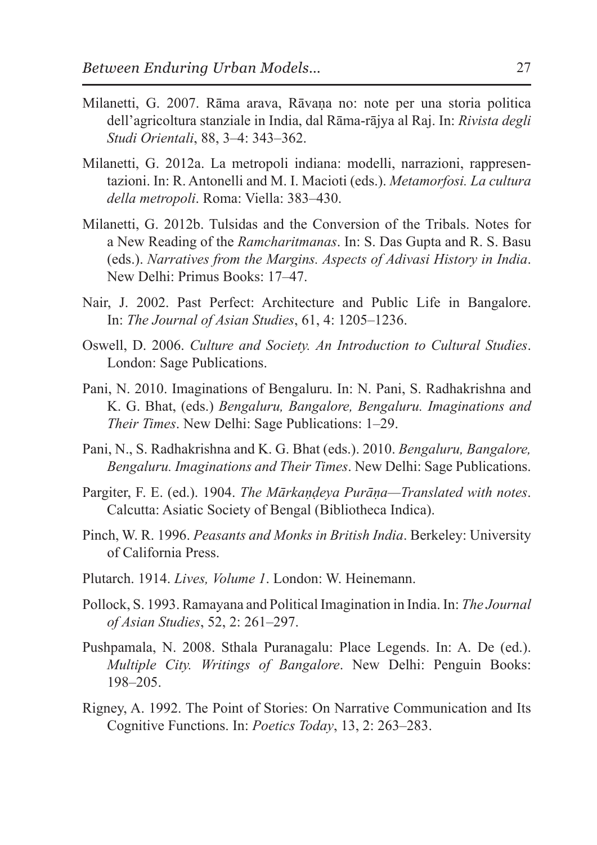- Milanetti, G. 2007. Rāma arava, Rāvaṇa no: note per una storia politica dell'agricoltura stanziale in India, dal Rāma-rājya al Raj. In: *Rivista degli Studi Orientali*, 88, 3–4: 343–362.
- Milanetti, G. 2012a. La metropoli indiana: modelli, narrazioni, rappresentazioni. In: R. Antonelli and M. I. Macioti (eds.). *Metamorfosi. La cultura della metropoli*. Roma: Viella: 383–430.
- Milanetti, G. 2012b. Tulsidas and the Conversion of the Tribals. Notes for a New Reading of the *Ramcharitmanas*. In: S. Das Gupta and R. S. Basu (eds.). *Narratives from the Margins. Aspects of Adivasi History in India*. New Delhi: Primus Books: 17–47.
- Nair, J. 2002. Past Perfect: Architecture and Public Life in Bangalore. In: *The Journal of Asian Studies*, 61, 4: 1205–1236.
- Oswell, D. 2006. *Culture and Society. An Introduction to Cultural Studies*. London: Sage Publications.
- Pani, N. 2010. Imaginations of Bengaluru. In: N. Pani, S. Radhakrishna and K. G. Bhat, (eds.) *Bengaluru, Bangalore, Bengaluru. Imaginations and Their Times*. New Delhi: Sage Publications: 1–29.
- Pani, N., S. Radhakrishna and K. G. Bhat (eds.). 2010. *Bengaluru, Bangalore, Bengaluru. Imaginations and Their Times*. New Delhi: Sage Publications.
- Pargiter, F. E. (ed.). 1904. *The Mārkaṇḍeya Purāṇa—Translated with notes*. Calcutta: Asiatic Society of Bengal (Bibliotheca Indica).
- Pinch, W. R. 1996. *Peasants and Monks in British India*. Berkeley: University of California Press.
- Plutarch. 1914. *Lives, Volume 1*. London: W. Heinemann.
- Pollock, S. 1993. Ramayana and Political Imagination in India. In: *The Journal of Asian Studies*, 52, 2: 261–297.
- Pushpamala, N. 2008. Sthala Puranagalu: Place Legends. In: A. De (ed.). *Multiple City. Writings of Bangalore*. New Delhi: Penguin Books: 198–205.
- Rigney, A. 1992. The Point of Stories: On Narrative Communication and Its Cognitive Functions. In: *Poetics Today*, 13, 2: 263–283.